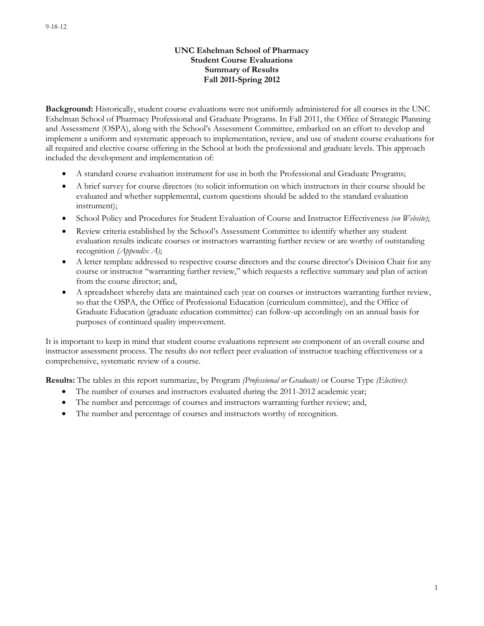### **UNC Eshelman School of Pharmacy Student Course Evaluations Summary of Results Fall 2011-Spring 2012**

**Background:** Historically, student course evaluations were not uniformly administered for all courses in the UNC Eshelman School of Pharmacy Professional and Graduate Programs. In Fall 2011, the Office of Strategic Planning and Assessment (OSPA), along with the School's Assessment Committee, embarked on an effort to develop and implement a uniform and systematic approach to implementation, review, and use of student course evaluations for all required and elective course offering in the School at both the professional and graduate levels. This approach included the development and implementation of:

- A standard course evaluation instrument for use in both the Professional and Graduate Programs;
- A brief survey for course directors (to solicit information on which instructors in their course should be evaluated and whether supplemental, custom questions should be added to the standard evaluation instrument);
- School Policy and Procedures for Student Evaluation of Course and Instructor Effectiveness *(on Website)*;
- Review criteria established by the School's Assessment Committee to identify whether any student evaluation results indicate courses or instructors warranting further review or are worthy of outstanding recognition *(Appendix A)*;
- A letter template addressed to respective course directors and the course director's Division Chair for any course or instructor "warranting further review," which requests a reflective summary and plan of action from the course director; and,
- A spreadsheet whereby data are maintained each year on courses or instructors warranting further review, so that the OSPA, the Office of Professional Education (curriculum committee), and the Office of Graduate Education (graduate education committee) can follow-up accordingly on an annual basis for purposes of continued quality improvement.

It is important to keep in mind that student course evaluations represent *one* component of an overall course and instructor assessment process. The results do not reflect peer evaluation of instructor teaching effectiveness or a comprehensive, systematic review of a course.

**Results:** The tables in this report summarize, by Program *(Professional or Graduate)* or Course Type *(Electives)*:

- The number of courses and instructors evaluated during the 2011-2012 academic year;
- The number and percentage of courses and instructors warranting further review; and,
- The number and percentage of courses and instructors worthy of recognition.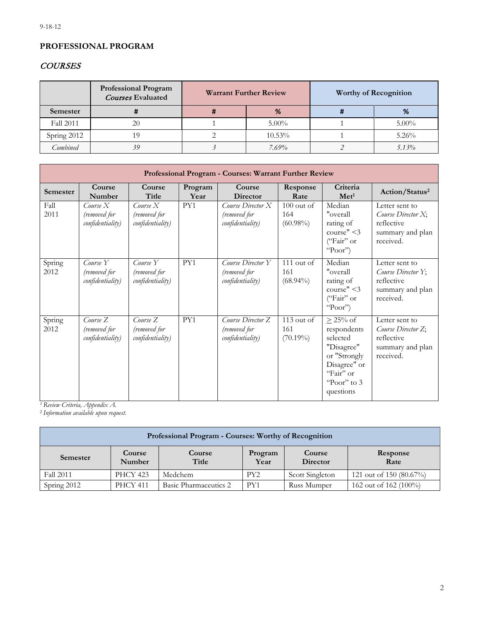# **PROFESSIONAL PROGRAM**

# **COURSES**

|             | <b>Professional Program</b><br><b>Courses Evaluated</b> | <b>Warrant Further Review</b> |           | <b>Worthy of Recognition</b> |          |
|-------------|---------------------------------------------------------|-------------------------------|-----------|------------------------------|----------|
| Semester    |                                                         | %                             |           | π                            | %        |
| Fall 2011   | 20                                                      |                               | $5.00\%$  |                              | $5.00\%$ |
| Spring 2012 | 9                                                       |                               | $10.53\%$ |                              | $5.26\%$ |
| Combined    | 39                                                      |                               | $7.69\%$  |                              | $5.13\%$ |

|                | Professional Program - Courses: Warrant Further Review |                                              |                 |                                                       |                                    |                                                                                                                                   |                                                                                     |  |  |  |
|----------------|--------------------------------------------------------|----------------------------------------------|-----------------|-------------------------------------------------------|------------------------------------|-----------------------------------------------------------------------------------------------------------------------------------|-------------------------------------------------------------------------------------|--|--|--|
| Semester       | Course<br>Number                                       | Course<br>Title                              | Program<br>Year | Course<br><b>Director</b>                             | Response<br>Rate                   | Criteria<br>$\mathbf{Met}^1$                                                                                                      | Action/Status <sup>2</sup>                                                          |  |  |  |
| Fall<br>2011   | Course X<br>(removed for<br>confidentiality)           | Course X<br>(removed for<br>confidentiality) | PY1             | Course Director X<br>(removed for<br>confidentiality) | $100$ out of<br>164<br>$(60.98\%)$ | Median<br>"overall<br>rating of<br>course" $<$ 3<br>("Fair" or<br>"Poor")                                                         | Letter sent to<br>Course Director X;<br>reflective<br>summary and plan<br>received. |  |  |  |
| Spring<br>2012 | Course Y<br>(removed for<br>confidentiality)           | Course Y<br>(removed for<br>confidentiality) | PY1             | Course Director Y<br>(removed for<br>confidentiality) | $111$ out of<br>161<br>$(68.94\%)$ | Median<br>"overall<br>rating of<br>course" $<$ 3<br>("Fair" or<br>"Poor")                                                         | Letter sent to<br>Course Director Y;<br>reflective<br>summary and plan<br>received. |  |  |  |
| Spring<br>2012 | Course Z<br>(removed for<br>confidentiality)           | Course Z<br>(removed for<br>confidentiality) | PY1             | Course Director Z<br>(removed for<br>confidentiality) | $113$ out of<br>161<br>$(70.19\%)$ | $\geq$ 25% of<br>respondents<br>selected<br>"Disagree"<br>or "Strongly<br>Disagree" or<br>"Fair" or<br>"Poor" to $3$<br>questions | Letter sent to<br>Course Director Z;<br>reflective<br>summary and plan<br>received. |  |  |  |

*1 Review Criteria, Appendix A.*

<sup>2</sup>*Information available upon request.*

| Professional Program - Courses: Worthy of Recognition                                                               |                 |         |                 |                 |                         |  |  |  |  |
|---------------------------------------------------------------------------------------------------------------------|-----------------|---------|-----------------|-----------------|-------------------------|--|--|--|--|
| Course<br>Course<br>Course<br>Response<br>Program<br>Semester<br>Title<br>Year<br>Rate<br><b>Director</b><br>Number |                 |         |                 |                 |                         |  |  |  |  |
| Fall 2011                                                                                                           | <b>PHCY 423</b> | Medchem | PY <sub>2</sub> | Scott Singleton | 121 out of 150 (80.67%) |  |  |  |  |
| 162 out of 162 (100%)<br>Basic Pharmaceutics 2<br>Spring 2012<br><b>PHCY 411</b><br>Russ Mumper<br>PY1              |                 |         |                 |                 |                         |  |  |  |  |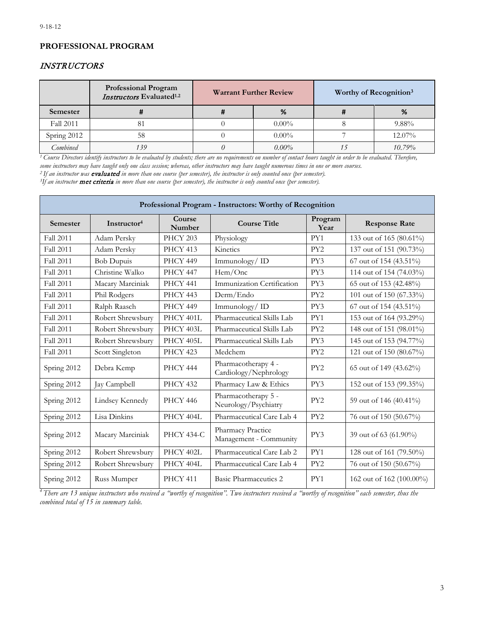# **PROFESSIONAL PROGRAM**

## INSTRUCTORS

|                  | <b>Professional Program</b><br>Instructors Evaluated <sup>1.2</sup> | <b>Warrant Further Review</b> |          | Worthy of Recognition <sup>3</sup> |
|------------------|---------------------------------------------------------------------|-------------------------------|----------|------------------------------------|
| <b>Semester</b>  |                                                                     | %                             |          | %                                  |
| <b>Fall 2011</b> | 81                                                                  |                               | $0.00\%$ | $9.88\%$                           |
| Spring 2012      | 58                                                                  |                               | $0.00\%$ | $12.07\%$                          |
| Combined         | 39                                                                  |                               | $0.00\%$ | 10.79%                             |

<sup>1</sup> Course Directors identify instructors to be evaluated by students; there are no requirements on number of contact hours taught in order to be evaluated. Therefore, *some instructors may have taught only one class session; whereas, other instructors may have taught numerous times in one or more courses.*<br><sup>2</sup> If an instructor was **evaluated** in more than one course (per semester), the

<sup>3</sup>If an instructor **met criteria** in more than one course (per semester), the instructor is only counted once (per semester).

| Professional Program - Instructors: Worthy of Recognition |                         |                   |                                              |                 |                          |  |  |  |  |
|-----------------------------------------------------------|-------------------------|-------------------|----------------------------------------------|-----------------|--------------------------|--|--|--|--|
| Semester                                                  | Instructor <sup>4</sup> | Course<br>Number  | <b>Course Title</b>                          | Program<br>Year | <b>Response Rate</b>     |  |  |  |  |
| <b>Fall 2011</b>                                          | Adam Persky             | <b>PHCY 203</b>   | Physiology                                   | PY1             | 133 out of 165 (80.61%)  |  |  |  |  |
| <b>Fall 2011</b>                                          | Adam Persky             | <b>PHCY 413</b>   | Kinetics                                     | PY <sub>2</sub> | 137 out of 151 (90.73%)  |  |  |  |  |
| Fall 2011                                                 | <b>Bob Dupuis</b>       | PHCY 449          | Immunology/ID                                | PY3             | 67 out of 154 (43.51%)   |  |  |  |  |
| Fall 2011                                                 | Christine Walko         | <b>PHCY 447</b>   | Hem/Onc                                      | PY3             | 114 out of 154 (74.03%)  |  |  |  |  |
| Fall 2011                                                 | Macary Marciniak        | PHCY 441          | Immunization Certification                   | PY3             | 65 out of 153 (42.48%)   |  |  |  |  |
| Fall 2011                                                 | Phil Rodgers            | PHCY 443          | Derm/Endo                                    | PY <sub>2</sub> | 101 out of 150 (67.33%)  |  |  |  |  |
| Fall 2011                                                 | Ralph Raasch            | PHCY 449          | Immunology/ID                                | PY3             | 67 out of 154 (43.51%)   |  |  |  |  |
| <b>Fall 2011</b>                                          | Robert Shrewsbury       | PHCY 401L         | Pharmaceutical Skills Lab                    | PY1             | 153 out of 164 (93.29%)  |  |  |  |  |
| Fall 2011                                                 | Robert Shrewsbury       | PHCY 403L         | Pharmaceutical Skills Lab                    | PY <sub>2</sub> | 148 out of 151 (98.01%)  |  |  |  |  |
| <b>Fall 2011</b>                                          | Robert Shrewsbury       | PHCY 405L         | Pharmaceutical Skills Lab                    | PY3             | 145 out of 153 (94.77%)  |  |  |  |  |
| <b>Fall 2011</b>                                          | Scott Singleton         | <b>PHCY 423</b>   | Medchem                                      | PY <sub>2</sub> | 121 out of 150 (80.67%)  |  |  |  |  |
| Spring 2012                                               | Debra Kemp              | <b>PHCY 444</b>   | Pharmacotherapy 4 -<br>Cardiology/Nephrology | PY <sub>2</sub> | 65 out of 149 (43.62%)   |  |  |  |  |
| Spring 2012                                               | Jay Campbell            | <b>PHCY 432</b>   | Pharmacy Law & Ethics                        | PY3             | 152 out of 153 (99.35%)  |  |  |  |  |
| Spring 2012                                               | Lindsey Kennedy         | <b>PHCY 446</b>   | Pharmacotherapy 5 -<br>Neurology/Psychiatry  | PY <sub>2</sub> | 59 out of 146 (40.41%)   |  |  |  |  |
| Spring 2012                                               | Lisa Dinkins            | PHCY 404L         | Pharmaceutical Care Lab 4                    | PY <sub>2</sub> | 76 out of 150 (50.67%)   |  |  |  |  |
| Spring 2012                                               | Macary Marciniak        | <b>PHCY 434-C</b> | Pharmacy Practice<br>Management - Community  | PY3             | 39 out of 63 (61.90%)    |  |  |  |  |
| Spring 2012                                               | Robert Shrewsbury       | PHCY 402L         | Pharmaceutical Care Lab 2                    | PY1             | 128 out of 161 (79.50%)  |  |  |  |  |
| Spring 2012                                               | Robert Shrewsbury       | PHCY 404L         | Pharmaceutical Care Lab 4                    | PY <sub>2</sub> | 76 out of 150 (50.67%)   |  |  |  |  |
| Spring 2012                                               | Russ Mumper             | <b>PHCY 411</b>   | Basic Pharmaceutics 2                        | PY1             | 162 out of 162 (100.00%) |  |  |  |  |

*4 There are 13 unique instructors who received a "worthy of recognition". Two instructors received a "worthy of recognition" each semester, thus the combined total of 15 in summary table.*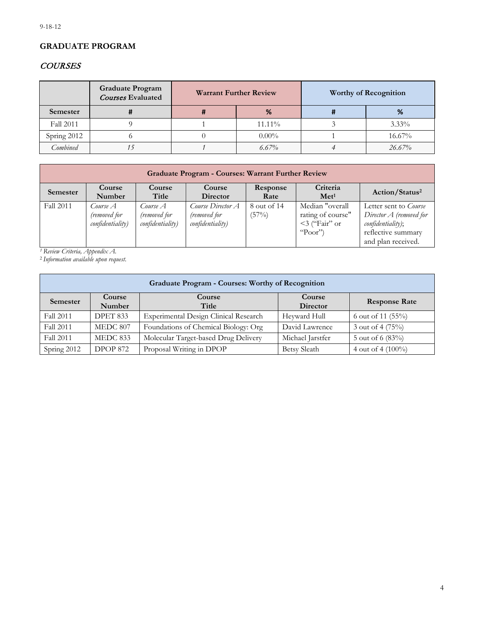# **GRADUATE PROGRAM**

# **COURSES**

|             | <b>Graduate Program</b><br>Courses Evaluated | <b>Warrant Further Review</b> |          | <b>Worthy of Recognition</b> |
|-------------|----------------------------------------------|-------------------------------|----------|------------------------------|
| Semester    |                                              | %                             |          | <br>%                        |
| Fall 2011   |                                              |                               | 11.11%   | $3.33\%$                     |
| Spring 2012 |                                              |                               | $0.00\%$ | 16.67%                       |
| Combined    |                                              |                               | $6.67\%$ | 26.67%                       |

| <b>Graduate Program - Courses: Warrant Further Review</b> |                                              |                                              |                                                       |                      |                                                                        |                                                                                                                            |  |  |  |
|-----------------------------------------------------------|----------------------------------------------|----------------------------------------------|-------------------------------------------------------|----------------------|------------------------------------------------------------------------|----------------------------------------------------------------------------------------------------------------------------|--|--|--|
| Semester                                                  | <b>Course</b><br>Number                      | Course<br>Title                              | Course<br>Director                                    | Response<br>Rate     | Criteria<br>Met <sup>1</sup>                                           | Action/Status <sup>2</sup>                                                                                                 |  |  |  |
| Fall 2011                                                 | Course A<br>(removed for<br>confidentiality) | Course A<br>(removed for<br>confidentiality) | Course Director A<br>(removed for<br>confidentiality) | 8 out of 14<br>(57%) | Median "overall<br>rating of course"<br>$\leq$ 3 ("Fair" or<br>"Poor") | Letter sent to <i>Course</i><br>Director $A$ (removed for<br>confidentiality);<br>reflective summary<br>and plan received. |  |  |  |

*1 Review Criteria, Appendix A.*

<sup>2</sup>*Information available upon request.*

| <b>Graduate Program - Courses: Worthy of Recognition</b>                                                       |                  |                                              |                           |                      |  |  |  |  |  |  |
|----------------------------------------------------------------------------------------------------------------|------------------|----------------------------------------------|---------------------------|----------------------|--|--|--|--|--|--|
| <b>Semester</b>                                                                                                | Course<br>Number | Course<br>Title                              | Course<br><b>Director</b> | <b>Response Rate</b> |  |  |  |  |  |  |
| Fall 2011                                                                                                      | <b>DPET 833</b>  | <b>Experimental Design Clinical Research</b> | Heyward Hull              | 6 out of 11 $(55\%)$ |  |  |  |  |  |  |
| Fall 2011                                                                                                      | MEDC 807         | Foundations of Chemical Biology: Org         | David Lawrence            | 3 out of 4 $(75%)$   |  |  |  |  |  |  |
| Molecular Target-based Drug Delivery<br>Fall 2011<br>Michael Jarstfer<br>5 out of 6 $(83%)$<br><b>MEDC 833</b> |                  |                                              |                           |                      |  |  |  |  |  |  |
| Spring 2012                                                                                                    | <b>DPOP 872</b>  | Proposal Writing in DPOP                     | Betsy Sleath              | 4 out of 4 $(100\%)$ |  |  |  |  |  |  |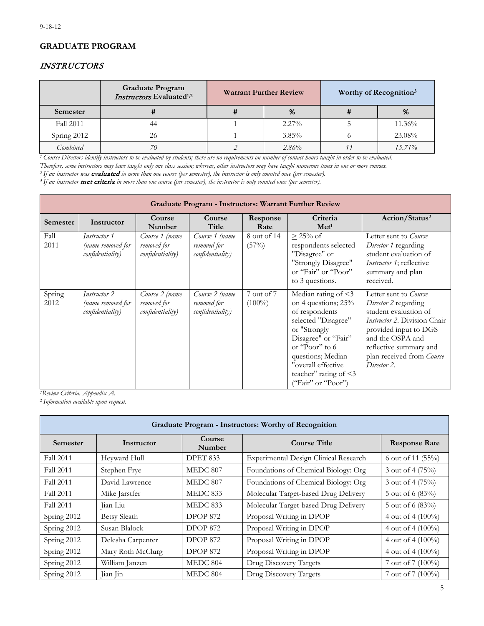# **GRADUATE PROGRAM**

## INSTRUCTORS

|             | <b>Graduate Program</b><br>Instructors Evaluated <sup>1,2</sup> | <b>Warrant Further Review</b> |          | Worthy of Recognition <sup>3</sup> |
|-------------|-----------------------------------------------------------------|-------------------------------|----------|------------------------------------|
| Semester    |                                                                 | %                             |          | %                                  |
| Fall 2011   | 44                                                              |                               | $2.27\%$ | 11.36%                             |
| Spring 2012 | 26                                                              |                               | $3.85\%$ | 23.08%                             |
| Combined    |                                                                 |                               | 2.86%    | $15.71\%$                          |

*1 Course Directors identify instructors to be evaluated by students; there are no requirements on number of contact hours taught in order to be evaluated. Therefore, some instructors may have taught only one class session; whereas, other instructors may have taught numerous times in one or more courses.*

<sup>3</sup> If an instructor **met criteria** in more than one course (per semester), the instructor is only counted once (per semester).

|                | <b>Graduate Program - Instructors: Warrant Further Review</b> |                                                   |                                                   |                         |                                                                                                                                                                                                                                        |                                                                                                                                                                                                                                  |  |  |  |  |
|----------------|---------------------------------------------------------------|---------------------------------------------------|---------------------------------------------------|-------------------------|----------------------------------------------------------------------------------------------------------------------------------------------------------------------------------------------------------------------------------------|----------------------------------------------------------------------------------------------------------------------------------------------------------------------------------------------------------------------------------|--|--|--|--|
| Semester       | Instructor                                                    | Course<br>Number                                  | Course<br>Title                                   | Response<br>Rate        | Criteria<br>Met <sup>1</sup>                                                                                                                                                                                                           | Action/Status <sup>2</sup>                                                                                                                                                                                                       |  |  |  |  |
| Fall<br>2011   | Instructor 1<br>(name removed for<br>confidentiality)         | Course 1 (name<br>removed for<br>confidentiality) | Course 1 (name<br>removed for<br>confidentiality) | 8 out of 14<br>(57%)    | $\geq$ 25% of<br>respondents selected<br>"Disagree" or<br>"Strongly Disagree"<br>or "Fair" or "Poor"<br>to 3 questions.                                                                                                                | Letter sent to Course<br>Director 1 regarding<br>student evaluation of<br><i>Instructor 1</i> ; reflective<br>summary and plan<br>received.                                                                                      |  |  |  |  |
| Spring<br>2012 | <i>Instructor 2</i><br>(name removed for<br>confidentiality)  | Course 2 (name<br>removed for<br>confidentiality) | Course 2 (name<br>removed for<br>confidentiality) | 7 out of 7<br>$(100\%)$ | Median rating of <3<br>on 4 questions; 25%<br>of respondents<br>selected "Disagree"<br>or "Strongly<br>Disagree" or "Fair"<br>or "Poor" to 6<br>questions; Median<br>"overall effective<br>teacher" rating of <3<br>("Fair" or "Poor") | Letter sent to Course<br>Director 2 regarding<br>student evaluation of<br><i>Instructor 2. Division Chair</i><br>provided input to DGS<br>and the OSPA and<br>reflective summary and<br>plan received from Course<br>Director 2. |  |  |  |  |

*1Review Criteria, Appendix A.*

<sup>2</sup>*Information available upon request.*

|                  | <b>Graduate Program - Instructors: Worthy of Recognition</b> |                 |                                              |                      |  |  |  |  |  |  |
|------------------|--------------------------------------------------------------|-----------------|----------------------------------------------|----------------------|--|--|--|--|--|--|
| Semester         | Course<br>Instructor<br>Number                               |                 | <b>Course Title</b>                          | <b>Response Rate</b> |  |  |  |  |  |  |
| <b>Fall 2011</b> | Heyward Hull                                                 | <b>DPET 833</b> | <b>Experimental Design Clinical Research</b> | 6 out of 11 $(55\%)$ |  |  |  |  |  |  |
| <b>Fall 2011</b> | Stephen Frye                                                 | MEDC 807        | Foundations of Chemical Biology: Org         | 3 out of 4 (75%)     |  |  |  |  |  |  |
| <b>Fall 2011</b> | David Lawrence                                               | MEDC 807        | Foundations of Chemical Biology: Org         | 3 out of 4 (75%)     |  |  |  |  |  |  |
| Fall 2011        | Mike Jarstfer                                                | <b>MEDC 833</b> | Molecular Target-based Drug Delivery         | 5 out of 6 (83%)     |  |  |  |  |  |  |
| Fall 2011        | Jian Liu                                                     | MEDC 833        | Molecular Target-based Drug Delivery         | 5 out of 6 (83%)     |  |  |  |  |  |  |
| Spring 2012      | <b>Betsy Sleath</b>                                          | <b>DPOP 872</b> | Proposal Writing in DPOP                     | 4 out of 4 (100%)    |  |  |  |  |  |  |
| Spring 2012      | Susan Blalock                                                | <b>DPOP 872</b> | Proposal Writing in DPOP                     | 4 out of 4 $(100\%)$ |  |  |  |  |  |  |
| Spring 2012      | Delesha Carpenter                                            | <b>DPOP 872</b> | Proposal Writing in DPOP                     | 4 out of 4 (100%)    |  |  |  |  |  |  |
| Spring 2012      | Mary Roth McClurg                                            | <b>DPOP 872</b> | Proposal Writing in DPOP                     | 4 out of 4 (100%)    |  |  |  |  |  |  |
| Spring 2012      | William Janzen                                               | <b>MEDC 804</b> | Drug Discovery Targets                       | 7 out of 7 (100%)    |  |  |  |  |  |  |
| Spring 2012      | Jian Jin                                                     | <b>MEDC 804</b> | Drug Discovery Targets                       | 7 out of 7 (100%)    |  |  |  |  |  |  |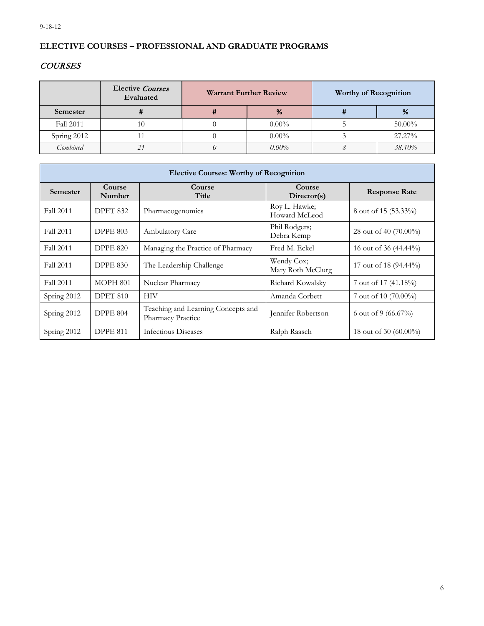# **ELECTIVE COURSES – PROFESSIONAL AND GRADUATE PROGRAMS**

# **COURSES**

|             | <b>Elective Courses</b><br>Evaluated | <b>Warrant Further Review</b> |          | <b>Worthy of Recognition</b> |           |
|-------------|--------------------------------------|-------------------------------|----------|------------------------------|-----------|
| Semester    |                                      | %                             |          |                              | %         |
| Fall 2011   | 10                                   |                               | $0.00\%$ |                              | $50.00\%$ |
| Spring 2012 |                                      |                               | $0.00\%$ |                              | 27.27%    |
| Combined    | $\bigcap$                            |                               | $0.00\%$ |                              | 38.10%    |

| <b>Elective Courses: Worthy of Recognition</b> |                  |                                                         |                                 |                       |  |  |  |  |  |
|------------------------------------------------|------------------|---------------------------------------------------------|---------------------------------|-----------------------|--|--|--|--|--|
| <b>Semester</b>                                | Course<br>Number | Course<br>Title                                         | Course<br>Director(s)           | <b>Response Rate</b>  |  |  |  |  |  |
| Fall 2011                                      | <b>DPET 832</b>  | Pharmacogenomics                                        | Roy L. Hawke;<br>Howard McLeod  | 8 out of 15 (53.33%)  |  |  |  |  |  |
| Fall 2011                                      | <b>DPPE 803</b>  | <b>Ambulatory Care</b>                                  | Phil Rodgers;<br>Debra Kemp     | 28 out of 40 (70.00%) |  |  |  |  |  |
| Fall 2011                                      | <b>DPPE 820</b>  | Managing the Practice of Pharmacy                       | Fred M. Eckel                   | 16 out of 36 (44.44%) |  |  |  |  |  |
| Fall 2011                                      | <b>DPPE 830</b>  | The Leadership Challenge                                | Wendy Cox;<br>Mary Roth McClurg | 17 out of 18 (94.44%) |  |  |  |  |  |
| Fall 2011                                      | <b>MOPH 801</b>  | Nuclear Pharmacy                                        | Richard Kowalsky                | 7 out of 17 (41.18%)  |  |  |  |  |  |
| Spring 2012                                    | <b>DPET 810</b>  | <b>HIV</b>                                              | Amanda Corbett                  | 7 out of 10 (70.00%)  |  |  |  |  |  |
| Spring 2012                                    | <b>DPPE 804</b>  | Teaching and Learning Concepts and<br>Pharmacy Practice | Jennifer Robertson              | 6 out of 9 (66.67%)   |  |  |  |  |  |
| Spring 2012                                    | <b>DPPE 811</b>  | Infectious Diseases                                     | Ralph Raasch                    | 18 out of 30 (60.00%) |  |  |  |  |  |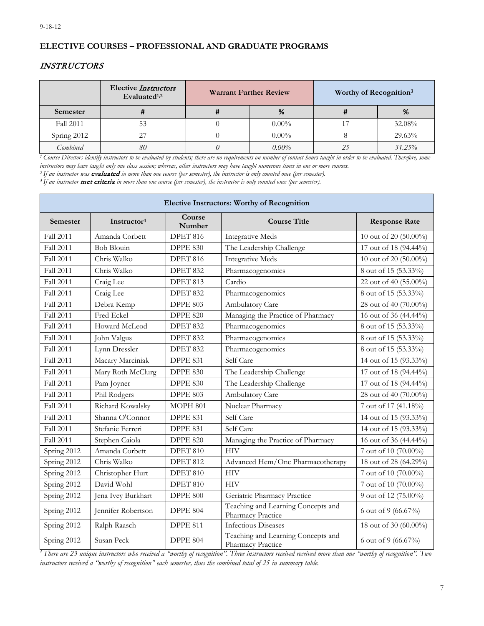## **ELECTIVE COURSES – PROFESSIONAL AND GRADUATE PROGRAMS**

## INSTRUCTORS

|             | <b>Elective Instructors</b><br>Evaluated <sup>1,2</sup> | <b>Warrant Further Review</b> |          | Worthy of Recognition <sup>3</sup> |           |
|-------------|---------------------------------------------------------|-------------------------------|----------|------------------------------------|-----------|
| Semester    |                                                         |                               | %        |                                    | %         |
| Fall 2011   |                                                         |                               | $0.00\%$ |                                    | 32.08%    |
| Spring 2012 |                                                         |                               | $0.00\%$ |                                    | 29.63%    |
| Combined    | 80                                                      |                               | $0.00\%$ |                                    | $31.25\%$ |

<sup>1</sup> Course Directors identify instructors to be evaluated by students; there are no requirements on number of contact hours taught in order to be evaluated. Therefore, some *instructors may have taught only one class session; whereas, other instructors may have taught numerous times in one or more courses.*

<sup>3</sup> If an instructor **met criteria** in more than one course (per semester), the instructor is only counted once (per semester).

| <b>Elective Instructors: Worthy of Recognition</b> |                         |                  |                                                         |                       |  |  |  |
|----------------------------------------------------|-------------------------|------------------|---------------------------------------------------------|-----------------------|--|--|--|
| Semester                                           | Instructor <sup>4</sup> | Course<br>Number | <b>Course Title</b>                                     | <b>Response Rate</b>  |  |  |  |
| Fall 2011                                          | Amanda Corbett          | <b>DPET 816</b>  | <b>Integrative Meds</b>                                 | 10 out of 20 (50.00%) |  |  |  |
| <b>Fall 2011</b>                                   | <b>Bob Blouin</b>       | <b>DPPE 830</b>  | The Leadership Challenge                                | 17 out of 18 (94.44%) |  |  |  |
| Fall 2011                                          | Chris Walko             | DPET 816         | <b>Integrative Meds</b>                                 | 10 out of 20 (50.00%) |  |  |  |
| Fall 2011                                          | Chris Walko             | <b>DPET 832</b>  | Pharmacogenomics                                        | 8 out of 15 (53.33%)  |  |  |  |
| Fall 2011                                          | Craig Lee               | DPET 813         | Cardio                                                  | 22 out of 40 (55.00%) |  |  |  |
| Fall 2011                                          | Craig Lee               | <b>DPET 832</b>  | Pharmacogenomics                                        | 8 out of 15 (53.33%)  |  |  |  |
| Fall 2011                                          | Debra Kemp              | <b>DPPE 803</b>  | Ambulatory Care                                         | 28 out of 40 (70.00%) |  |  |  |
| Fall 2011                                          | Fred Eckel              | <b>DPPE 820</b>  | Managing the Practice of Pharmacy                       | 16 out of 36 (44.44%) |  |  |  |
| Fall 2011                                          | Howard McLeod           | DPET 832         | Pharmacogenomics                                        | 8 out of 15 (53.33%)  |  |  |  |
| Fall 2011                                          | John Valgus             | DPET 832         | Pharmacogenomics                                        | 8 out of 15 (53.33%)  |  |  |  |
| Fall 2011                                          | Lynn Dressler           | DPET 832         | Pharmacogenomics                                        | 8 out of 15 (53.33%)  |  |  |  |
| <b>Fall 2011</b>                                   | Macary Marciniak        | DPPE 831         | Self Care                                               | 14 out of 15 (93.33%) |  |  |  |
| Fall 2011                                          | Mary Roth McClurg       | DPPE 830         | The Leadership Challenge                                | 17 out of 18 (94.44%) |  |  |  |
| Fall 2011                                          | Pam Joyner              | <b>DPPE 830</b>  | The Leadership Challenge                                | 17 out of 18 (94.44%) |  |  |  |
| <b>Fall 2011</b>                                   | Phil Rodgers            | <b>DPPE 803</b>  | Ambulatory Care                                         | 28 out of 40 (70.00%) |  |  |  |
| <b>Fall 2011</b>                                   | Richard Kowalsky        | MOPH 801         | Nuclear Pharmacy                                        | 7 out of 17 (41.18%)  |  |  |  |
| Fall 2011                                          | Shanna O'Connor         | DPPE 831         | Self Care                                               | 14 out of 15 (93.33%) |  |  |  |
| Fall 2011                                          | Stefanie Ferreri        | <b>DPPE 831</b>  | Self Care                                               | 14 out of 15 (93.33%) |  |  |  |
| Fall 2011                                          | Stephen Caiola          | <b>DPPE 820</b>  | Managing the Practice of Pharmacy                       | 16 out of 36 (44.44%) |  |  |  |
| Spring 2012                                        | Amanda Corbett          | DPET 810         | <b>HIV</b>                                              | 7 out of 10 (70.00%)  |  |  |  |
| Spring 2012                                        | Chris Walko             | <b>DPET 812</b>  | Advanced Hem/Onc Pharmacotherapy                        | 18 out of 28 (64.29%) |  |  |  |
| Spring 2012                                        | Christopher Hurt        | DPET 810         | <b>HIV</b>                                              | 7 out of 10 (70.00%)  |  |  |  |
| Spring 2012                                        | David Wohl              | DPET 810         | HIV                                                     | 7 out of 10 (70.00%)  |  |  |  |
| Spring 2012                                        | Jena Ivey Burkhart      | DPPE 800         | Geriatric Pharmacy Practice                             | 9 out of 12 (75.00%)  |  |  |  |
| Spring 2012                                        | Jennifer Robertson      | <b>DPPE 804</b>  | Teaching and Learning Concepts and<br>Pharmacy Practice | 6 out of 9 (66.67%)   |  |  |  |
| Spring 2012                                        | Ralph Raasch            | <b>DPPE 811</b>  | <b>Infectious Diseases</b>                              | 18 out of 30 (60.00%) |  |  |  |
| Spring 2012                                        | Susan Peck              | <b>DPPE 804</b>  | Teaching and Learning Concepts and<br>Pharmacy Practice | 6 out of 9 (66.67%)   |  |  |  |

*4 There are 23 unique instructors who received a "worthy of recognition". Three instructors received received more than one "worthy of recognition". Two instructors received a "worthy of recognition" each semester, thus the combined total of 25 in summary table.*